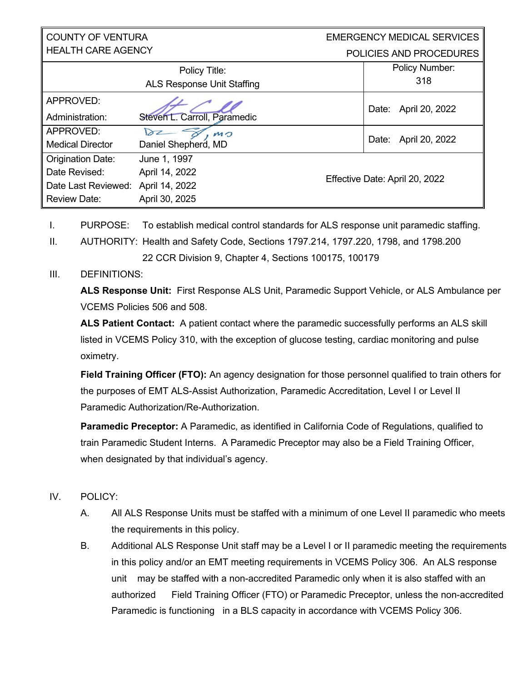#### COUNTY OF VENTURA HEALTH CARE AGENCY

#### EMERGENCY MEDICAL SERVICES POLICIES AND PROCEDURES

| Policy Title:<br><b>ALS Response Unit Staffing</b> |                              |  | Policy Number:<br>318          |
|----------------------------------------------------|------------------------------|--|--------------------------------|
| APPROVED:                                          |                              |  | April 20, 2022<br>Date:        |
| Administration:                                    | Steven L. Carroll, Paramedic |  |                                |
| APPROVED:                                          | MO                           |  |                                |
| <b>Medical Director</b>                            | Daniel Shepherd, MD          |  | April 20, 2022<br>Date:        |
| <b>Origination Date:</b>                           | June 1, 1997                 |  |                                |
| Date Revised:                                      | April 14, 2022               |  | Effective Date: April 20, 2022 |
| Date Last Reviewed:                                | April 14, 2022               |  |                                |
| <b>Review Date:</b>                                | April 30, 2025               |  |                                |

- I. PURPOSE: To establish medical control standards for ALS response unit paramedic staffing.
- II. AUTHORITY: Health and Safety Code, Sections 1797.214, 1797.220, 1798, and 1798.200 22 CCR Division 9, Chapter 4, Sections 100175, 100179

## III. DEFINITIONS:

**ALS Response Unit:** First Response ALS Unit, Paramedic Support Vehicle, or ALS Ambulance per VCEMS Policies 506 and 508.

**ALS Patient Contact:** A patient contact where the paramedic successfully performs an ALS skill listed in VCEMS Policy 310, with the exception of glucose testing, cardiac monitoring and pulse oximetry.

**Field Training Officer (FTO):** An agency designation for those personnel qualified to train others for the purposes of EMT ALS-Assist Authorization, Paramedic Accreditation, Level I or Level II Paramedic Authorization/Re-Authorization.

**Paramedic Preceptor:** A Paramedic, as identified in California Code of Regulations, qualified to train Paramedic Student Interns. A Paramedic Preceptor may also be a Field Training Officer, when designated by that individual's agency.

## IV. POLICY:

- A. All ALS Response Units must be staffed with a minimum of one Level II paramedic who meets the requirements in this policy.
- B. Additional ALS Response Unit staff may be a Level I or II paramedic meeting the requirements in this policy and/or an EMT meeting requirements in VCEMS Policy 306. An ALS response unit may be staffed with a non-accredited Paramedic only when it is also staffed with an authorized Field Training Officer (FTO) or Paramedic Preceptor, unless the non-accredited Paramedic is functioning in a BLS capacity in accordance with VCEMS Policy 306.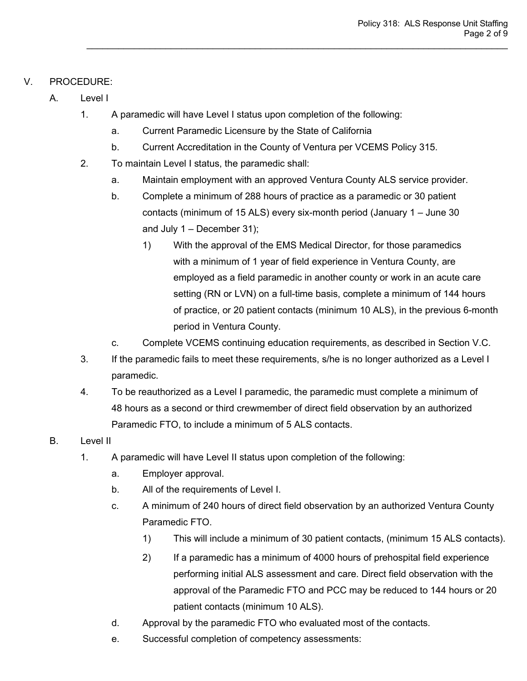## V. PROCEDURE:

- A. Level I
	- 1. A paramedic will have Level I status upon completion of the following:
		- a. Current Paramedic Licensure by the State of California
		- b. Current Accreditation in the County of Ventura per VCEMS Policy 315.
	- 2. To maintain Level I status, the paramedic shall:
		- a. Maintain employment with an approved Ventura County ALS service provider.

- b. Complete a minimum of 288 hours of practice as a paramedic or 30 patient contacts (minimum of 15 ALS) every six-month period (January 1 – June 30 and July  $1 -$  December 31);
	- 1) With the approval of the EMS Medical Director, for those paramedics with a minimum of 1 year of field experience in Ventura County, are employed as a field paramedic in another county or work in an acute care setting (RN or LVN) on a full-time basis, complete a minimum of 144 hours of practice, or 20 patient contacts (minimum 10 ALS), in the previous 6-month period in Ventura County.
- c. Complete VCEMS continuing education requirements, as described in Section V.C.
- 3. If the paramedic fails to meet these requirements, s/he is no longer authorized as a Level I paramedic.
- 4. To be reauthorized as a Level I paramedic, the paramedic must complete a minimum of 48 hours as a second or third crewmember of direct field observation by an authorized Paramedic FTO, to include a minimum of 5 ALS contacts.
- B. Level II
	- 1. A paramedic will have Level II status upon completion of the following:
		- a. Employer approval.
		- b. All of the requirements of Level I.
		- c. A minimum of 240 hours of direct field observation by an authorized Ventura County Paramedic FTO.
			- 1) This will include a minimum of 30 patient contacts, (minimum 15 ALS contacts).
			- 2) If a paramedic has a minimum of 4000 hours of prehospital field experience performing initial ALS assessment and care. Direct field observation with the approval of the Paramedic FTO and PCC may be reduced to 144 hours or 20 patient contacts (minimum 10 ALS).
		- d. Approval by the paramedic FTO who evaluated most of the contacts.
		- e. Successful completion of competency assessments: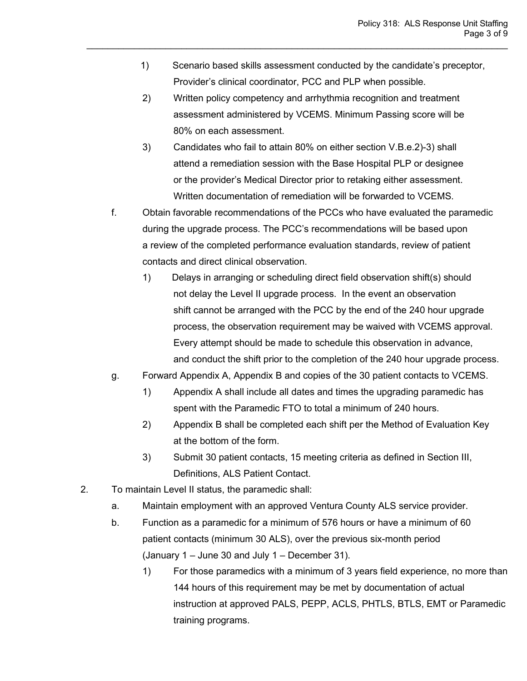- 1) Scenario based skills assessment conducted by the candidate's preceptor, Provider's clinical coordinator, PCC and PLP when possible.
- 2) Written policy competency and arrhythmia recognition and treatment assessment administered by VCEMS. Minimum Passing score will be 80% on each assessment.

- 3) Candidates who fail to attain 80% on either section V.B.e.2)-3) shall attend a remediation session with the Base Hospital PLP or designee or the provider's Medical Director prior to retaking either assessment. Written documentation of remediation will be forwarded to VCEMS.
- f. Obtain favorable recommendations of the PCCs who have evaluated the paramedic during the upgrade process. The PCC's recommendations will be based upon a review of the completed performance evaluation standards, review of patient contacts and direct clinical observation.
	- 1) Delays in arranging or scheduling direct field observation shift(s) should not delay the Level II upgrade process. In the event an observation shift cannot be arranged with the PCC by the end of the 240 hour upgrade process, the observation requirement may be waived with VCEMS approval. Every attempt should be made to schedule this observation in advance, and conduct the shift prior to the completion of the 240 hour upgrade process.
- g. Forward Appendix A, Appendix B and copies of the 30 patient contacts to VCEMS.
	- 1) Appendix A shall include all dates and times the upgrading paramedic has spent with the Paramedic FTO to total a minimum of 240 hours.
	- 2) Appendix B shall be completed each shift per the Method of Evaluation Key at the bottom of the form.
	- 3) Submit 30 patient contacts, 15 meeting criteria as defined in Section III, Definitions, ALS Patient Contact.
- 2. To maintain Level II status, the paramedic shall:
	- a. Maintain employment with an approved Ventura County ALS service provider.
	- b. Function as a paramedic for a minimum of 576 hours or have a minimum of 60 patient contacts (minimum 30 ALS), over the previous six-month period (January 1 – June 30 and July 1 – December 31).
		- 1) For those paramedics with a minimum of 3 years field experience, no more than 144 hours of this requirement may be met by documentation of actual instruction at approved PALS, PEPP, ACLS, PHTLS, BTLS, EMT or Paramedic training programs.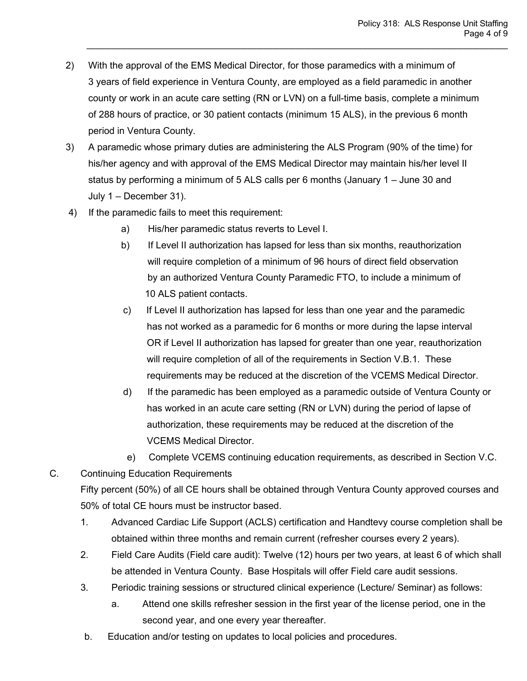2) With the approval of the EMS Medical Director, for those paramedics with a minimum of 3 years of field experience in Ventura County, are employed as a field paramedic in another county or work in an acute care setting (RN or LVN) on a full-time basis, complete a minimum of 288 hours of practice, or 30 patient contacts (minimum 15 ALS), in the previous 6 month period in Ventura County.

- 3) A paramedic whose primary duties are administering the ALS Program (90% of the time) for his/her agency and with approval of the EMS Medical Director may maintain his/her level II status by performing a minimum of 5 ALS calls per 6 months (January 1 – June 30 and July 1 – December 31).
- 4) If the paramedic fails to meet this requirement:
	- a) His/her paramedic status reverts to Level I.
	- b) If Level II authorization has lapsed for less than six months, reauthorization will require completion of a minimum of 96 hours of direct field observation by an authorized Ventura County Paramedic FTO, to include a minimum of 10 ALS patient contacts.
	- c) If Level II authorization has lapsed for less than one year and the paramedic has not worked as a paramedic for 6 months or more during the lapse interval OR if Level II authorization has lapsed for greater than one year, reauthorization will require completion of all of the requirements in Section V.B.1. These requirements may be reduced at the discretion of the VCEMS Medical Director.
	- d) If the paramedic has been employed as a paramedic outside of Ventura County or has worked in an acute care setting (RN or LVN) during the period of lapse of authorization, these requirements may be reduced at the discretion of the VCEMS Medical Director.
	- e) Complete VCEMS continuing education requirements, as described in Section V.C.
- C. Continuing Education Requirements Fifty percent (50%) of all CE hours shall be obtained through Ventura County approved courses and 50% of total CE hours must be instructor based.
	- 1. Advanced Cardiac Life Support (ACLS) certification and Handtevy course completion shall be obtained within three months and remain current (refresher courses every 2 years).
	- 2. Field Care Audits (Field care audit): Twelve (12) hours per two years, at least 6 of which shall be attended in Ventura County. Base Hospitals will offer Field care audit sessions.
	- 3. Periodic training sessions or structured clinical experience (Lecture/ Seminar) as follows:
		- a. Attend one skills refresher session in the first year of the license period, one in the second year, and one every year thereafter.
	- b. Education and/or testing on updates to local policies and procedures.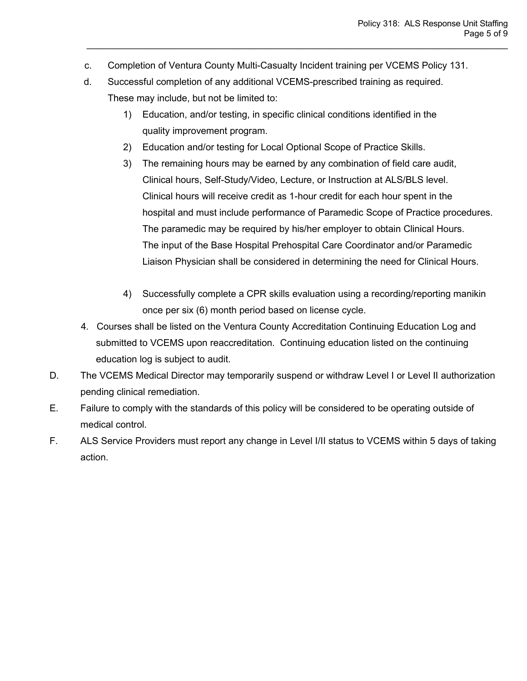c. Completion of Ventura County Multi-Casualty Incident training per VCEMS Policy 131.

- d. Successful completion of any additional VCEMS-prescribed training as required. These may include, but not be limited to:
	- 1) Education, and/or testing, in specific clinical conditions identified in the quality improvement program.
	- 2) Education and/or testing for Local Optional Scope of Practice Skills.
	- 3) The remaining hours may be earned by any combination of field care audit, Clinical hours, Self-Study/Video, Lecture, or Instruction at ALS/BLS level. Clinical hours will receive credit as 1-hour credit for each hour spent in the hospital and must include performance of Paramedic Scope of Practice procedures. The paramedic may be required by his/her employer to obtain Clinical Hours. The input of the Base Hospital Prehospital Care Coordinator and/or Paramedic Liaison Physician shall be considered in determining the need for Clinical Hours.
	- 4) Successfully complete a CPR skills evaluation using a recording/reporting manikin once per six (6) month period based on license cycle.
- 4. Courses shall be listed on the Ventura County Accreditation Continuing Education Log and submitted to VCEMS upon reaccreditation. Continuing education listed on the continuing education log is subject to audit.
- D. The VCEMS Medical Director may temporarily suspend or withdraw Level I or Level II authorization pending clinical remediation.
- E. Failure to comply with the standards of this policy will be considered to be operating outside of medical control.
- F. ALS Service Providers must report any change in Level I/II status to VCEMS within 5 days of taking action.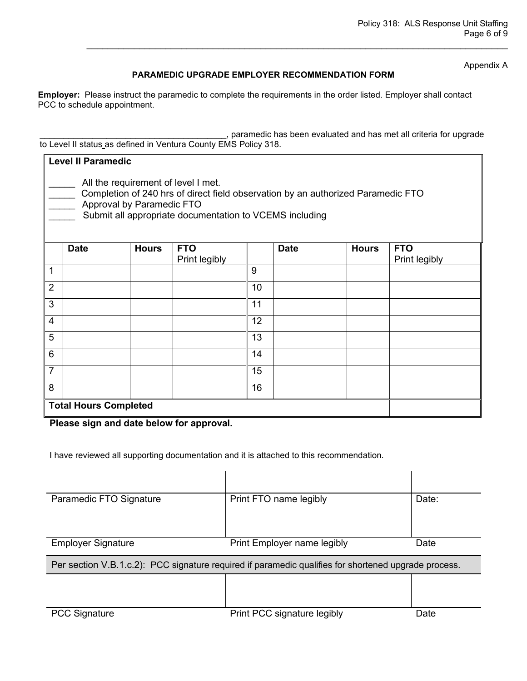Appendix A

#### **PARAMEDIC UPGRADE EMPLOYER RECOMMENDATION FORM**

 $\_$  , and the set of the set of the set of the set of the set of the set of the set of the set of the set of the set of the set of the set of the set of the set of the set of the set of the set of the set of the set of th

**Employer:** Please instruct the paramedic to complete the requirements in the order listed. Employer shall contact PCC to schedule appointment.

, paramedic has been evaluated and has met all criteria for upgrade to Level II status as defined in Ventura County EMS Policy 318.

| <b>Level II Paramedic</b>                                                                                                                                                                                       |                              |              |               |    |             |              |               |
|-----------------------------------------------------------------------------------------------------------------------------------------------------------------------------------------------------------------|------------------------------|--------------|---------------|----|-------------|--------------|---------------|
| All the requirement of level I met.<br>Completion of 240 hrs of direct field observation by an authorized Paramedic FTO<br>Approval by Paramedic FTO<br>Submit all appropriate documentation to VCEMS including |                              |              |               |    |             |              |               |
|                                                                                                                                                                                                                 | <b>Date</b>                  | <b>Hours</b> | <b>FTO</b>    |    | <b>Date</b> | <b>Hours</b> | <b>FTO</b>    |
|                                                                                                                                                                                                                 |                              |              | Print legibly |    |             |              | Print legibly |
| 1                                                                                                                                                                                                               |                              |              |               | 9  |             |              |               |
| $\overline{2}$                                                                                                                                                                                                  |                              |              |               | 10 |             |              |               |
| 3                                                                                                                                                                                                               |                              |              |               | 11 |             |              |               |
| $\overline{4}$                                                                                                                                                                                                  |                              |              |               | 12 |             |              |               |
| 5                                                                                                                                                                                                               |                              |              |               | 13 |             |              |               |
| 6                                                                                                                                                                                                               |                              |              |               | 14 |             |              |               |
| $\overline{7}$                                                                                                                                                                                                  |                              |              |               | 15 |             |              |               |
| 8                                                                                                                                                                                                               |                              |              |               | 16 |             |              |               |
|                                                                                                                                                                                                                 | <b>Total Hours Completed</b> |              |               |    |             |              |               |

**Please sign and date below for approval.**

I have reviewed all supporting documentation and it is attached to this recommendation.

| Paramedic FTO Signature                                                                              | Print FTO name legibly      | Date: |  |  |  |
|------------------------------------------------------------------------------------------------------|-----------------------------|-------|--|--|--|
|                                                                                                      |                             |       |  |  |  |
| <b>Employer Signature</b>                                                                            | Print Employer name legibly | Date  |  |  |  |
| Per section V.B.1.c.2): PCC signature required if paramedic qualifies for shortened upgrade process. |                             |       |  |  |  |
|                                                                                                      |                             |       |  |  |  |
|                                                                                                      |                             |       |  |  |  |
| <b>PCC Signature</b>                                                                                 | Print PCC signature legibly | Date  |  |  |  |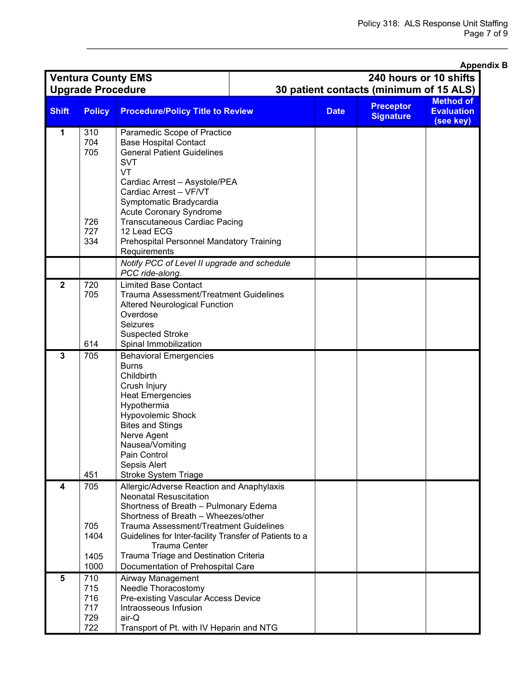|                                                                                                                          | <b>Upgrade Procedure</b>                                                                                                                        | <b>Ventura County EMS</b>                                                    | Appe<br>240 hours or 10 shifts<br>30 patient contacts (minimum of 15 ALS) |             |                                      |                                |
|--------------------------------------------------------------------------------------------------------------------------|-------------------------------------------------------------------------------------------------------------------------------------------------|------------------------------------------------------------------------------|---------------------------------------------------------------------------|-------------|--------------------------------------|--------------------------------|
|                                                                                                                          |                                                                                                                                                 |                                                                              |                                                                           |             |                                      | <b>Method of</b>               |
| <b>Shift</b>                                                                                                             | <b>Policy</b>                                                                                                                                   | <b>Procedure/Policy Title to Review</b>                                      |                                                                           | <b>Date</b> | <b>Preceptor</b><br><b>Signature</b> | <b>Evaluation</b><br>(see key) |
| 1                                                                                                                        | 310                                                                                                                                             | Paramedic Scope of Practice                                                  |                                                                           |             |                                      |                                |
|                                                                                                                          | 704                                                                                                                                             | <b>Base Hospital Contact</b>                                                 |                                                                           |             |                                      |                                |
|                                                                                                                          | 705                                                                                                                                             | <b>General Patient Guidelines</b><br><b>SVT</b>                              |                                                                           |             |                                      |                                |
|                                                                                                                          |                                                                                                                                                 | VT                                                                           |                                                                           |             |                                      |                                |
|                                                                                                                          |                                                                                                                                                 | Cardiac Arrest - Asystole/PEA                                                |                                                                           |             |                                      |                                |
|                                                                                                                          |                                                                                                                                                 | Cardiac Arrest - VF/VT                                                       |                                                                           |             |                                      |                                |
|                                                                                                                          |                                                                                                                                                 | Symptomatic Bradycardia                                                      |                                                                           |             |                                      |                                |
|                                                                                                                          |                                                                                                                                                 | Acute Coronary Syndrome                                                      |                                                                           |             |                                      |                                |
|                                                                                                                          | 726<br>727                                                                                                                                      | <b>Transcutaneous Cardiac Pacing</b><br>12 Lead ECG                          |                                                                           |             |                                      |                                |
|                                                                                                                          | 334                                                                                                                                             | <b>Prehospital Personnel Mandatory Training</b>                              |                                                                           |             |                                      |                                |
|                                                                                                                          |                                                                                                                                                 | Requirements                                                                 |                                                                           |             |                                      |                                |
|                                                                                                                          |                                                                                                                                                 | Notify PCC of Level II upgrade and schedule                                  |                                                                           |             |                                      |                                |
|                                                                                                                          |                                                                                                                                                 | PCC ride-along.                                                              |                                                                           |             |                                      |                                |
| $\overline{2}$                                                                                                           | 720<br>705                                                                                                                                      | <b>Limited Base Contact</b><br><b>Trauma Assessment/Treatment Guidelines</b> |                                                                           |             |                                      |                                |
|                                                                                                                          |                                                                                                                                                 | <b>Altered Neurological Function</b>                                         |                                                                           |             |                                      |                                |
|                                                                                                                          |                                                                                                                                                 | Overdose                                                                     |                                                                           |             |                                      |                                |
|                                                                                                                          |                                                                                                                                                 | Seizures                                                                     |                                                                           |             |                                      |                                |
|                                                                                                                          |                                                                                                                                                 | <b>Suspected Stroke</b>                                                      |                                                                           |             |                                      |                                |
| $\overline{3}$                                                                                                           | 614                                                                                                                                             | Spinal Immobilization                                                        |                                                                           |             |                                      |                                |
|                                                                                                                          | 705                                                                                                                                             | <b>Behavioral Emergencies</b><br><b>Burns</b>                                |                                                                           |             |                                      |                                |
|                                                                                                                          |                                                                                                                                                 | Childbirth                                                                   |                                                                           |             |                                      |                                |
|                                                                                                                          |                                                                                                                                                 | Crush Injury                                                                 |                                                                           |             |                                      |                                |
| <b>Heat Emergencies</b><br>Hypothermia<br>Hypovolemic Shock<br><b>Bites and Stings</b><br>Nerve Agent<br>Nausea/Vomiting |                                                                                                                                                 |                                                                              |                                                                           |             |                                      |                                |
|                                                                                                                          |                                                                                                                                                 |                                                                              |                                                                           |             |                                      |                                |
|                                                                                                                          |                                                                                                                                                 |                                                                              |                                                                           |             |                                      |                                |
|                                                                                                                          |                                                                                                                                                 |                                                                              |                                                                           |             |                                      |                                |
|                                                                                                                          |                                                                                                                                                 |                                                                              |                                                                           |             |                                      |                                |
| Pain Control                                                                                                             |                                                                                                                                                 |                                                                              |                                                                           |             |                                      |                                |
| Sepsis Alert<br>451                                                                                                      |                                                                                                                                                 |                                                                              |                                                                           |             |                                      |                                |
| 4                                                                                                                        | 705                                                                                                                                             | <b>Stroke System Triage</b><br>Allergic/Adverse Reaction and Anaphylaxis     |                                                                           |             |                                      |                                |
|                                                                                                                          |                                                                                                                                                 | <b>Neonatal Resuscitation</b>                                                |                                                                           |             |                                      |                                |
|                                                                                                                          |                                                                                                                                                 | Shortness of Breath - Pulmonary Edema                                        |                                                                           |             |                                      |                                |
| Shortness of Breath - Wheezes/other                                                                                      |                                                                                                                                                 |                                                                              |                                                                           |             |                                      |                                |
|                                                                                                                          | <b>Trauma Assessment/Treatment Guidelines</b><br>705<br>1404<br>Guidelines for Inter-facility Transfer of Patients to a<br><b>Trauma Center</b> |                                                                              |                                                                           |             |                                      |                                |
|                                                                                                                          |                                                                                                                                                 |                                                                              |                                                                           |             |                                      |                                |
| Trauma Triage and Destination Criteria<br>1405                                                                           |                                                                                                                                                 |                                                                              |                                                                           |             |                                      |                                |
|                                                                                                                          | 1000                                                                                                                                            | Documentation of Prehospital Care                                            |                                                                           |             |                                      |                                |
| 5                                                                                                                        | 710                                                                                                                                             | Airway Management                                                            |                                                                           |             |                                      |                                |
|                                                                                                                          | 715                                                                                                                                             | Needle Thoracostomy                                                          |                                                                           |             |                                      |                                |
|                                                                                                                          | 716<br>717                                                                                                                                      | Pre-existing Vascular Access Device                                          |                                                                           |             |                                      |                                |
|                                                                                                                          | 729                                                                                                                                             | Intraosseous Infusion<br>air-Q                                               |                                                                           |             |                                      |                                |
|                                                                                                                          | 722                                                                                                                                             | Transport of Pt. with IV Heparin and NTG                                     |                                                                           |             |                                      |                                |

 $\_$  , and the set of the set of the set of the set of the set of the set of the set of the set of the set of the set of the set of the set of the set of the set of the set of the set of the set of the set of the set of th

#### **Appendix B**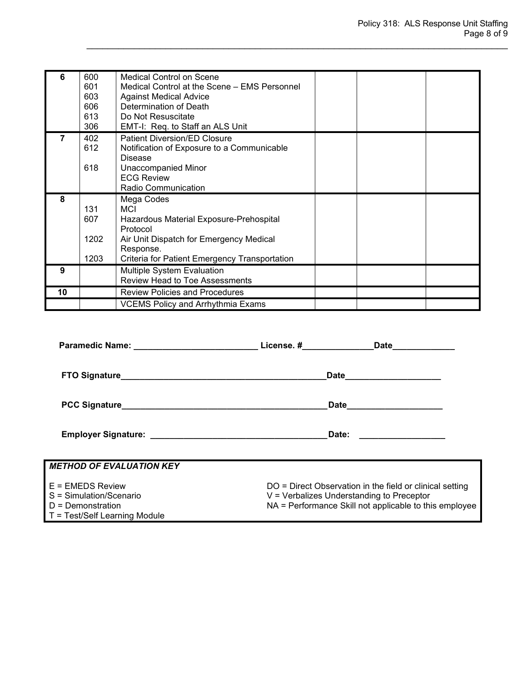| 6  | 600<br>601<br>603<br>606<br>613<br>306 | <b>Medical Control on Scene</b><br>Medical Control at the Scene – EMS Personnel<br><b>Against Medical Advice</b><br>Determination of Death<br>Do Not Resuscitate<br>EMT-I: Req. to Staff an ALS Unit |
|----|----------------------------------------|------------------------------------------------------------------------------------------------------------------------------------------------------------------------------------------------------|
|    | 402<br>612<br>618                      | <b>Patient Diversion/ED Closure</b><br>Notification of Exposure to a Communicable<br><b>Disease</b><br><b>Unaccompanied Minor</b><br><b>ECG Review</b><br><b>Radio Communication</b>                 |
| 8  | 131<br>607<br>1202<br>1203             | Mega Codes<br><b>MCI</b><br>Hazardous Material Exposure-Prehospital<br>Protocol<br>Air Unit Dispatch for Emergency Medical<br>Response.<br>Criteria for Patient Emergency Transportation             |
| 9  |                                        | <b>Multiple System Evaluation</b><br><b>Review Head to Toe Assessments</b>                                                                                                                           |
| 10 |                                        | <b>Review Policies and Procedures</b>                                                                                                                                                                |
|    |                                        | <b>VCEMS Policy and Arrhythmia Exams</b>                                                                                                                                                             |

|                                                                                                       | License. # Date                                                                                                                                                   |  |
|-------------------------------------------------------------------------------------------------------|-------------------------------------------------------------------------------------------------------------------------------------------------------------------|--|
|                                                                                                       | Date_____________________                                                                                                                                         |  |
|                                                                                                       | Date_____________________                                                                                                                                         |  |
|                                                                                                       |                                                                                                                                                                   |  |
| <b>METHOD OF EVALUATION KEY</b>                                                                       |                                                                                                                                                                   |  |
| $E =$ FMEDS Review<br>S = Simulation/Scenario<br>$D =$ Demonstration<br>T = Test/Self Learning Module | DO = Direct Observation in the field or clinical setting<br>$V =$ Verbalizes Understanding to Preceptor<br>NA = Performance Skill not applicable to this employee |  |